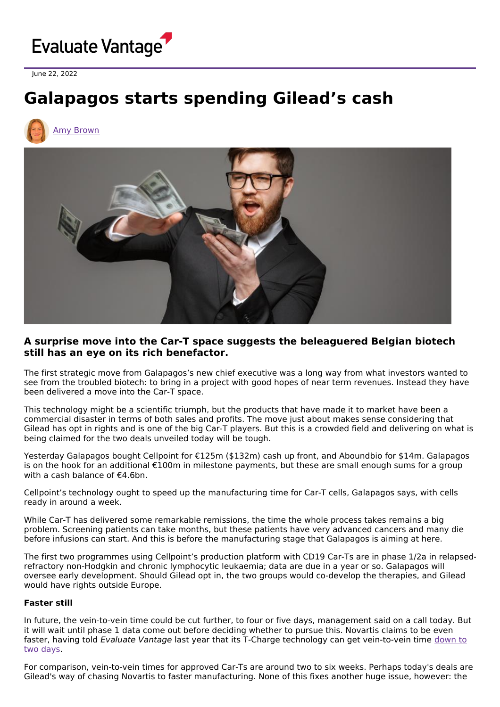

June 22, 2022

# **Galapagos starts spending Gilead's cash**





# **A surprise move into the Car-T space suggests the beleaguered Belgian biotech still has an eye on its rich benefactor.**

The first strategic move from Galapagos's new chief executive was a long way from what investors wanted to see from the troubled biotech: to bring in a project with good hopes of near term revenues. Instead they have been delivered a move into the Car-T space.

This technology might be a scientific triumph, but the products that have made it to market have been a commercial disaster in terms of both sales and profits. The move just about makes sense considering that Gilead has opt in rights and is one of the big Car-T players. But this is a crowded field and delivering on what is being claimed for the two deals unveiled today will be tough.

Yesterday Galapagos bought Cellpoint for €125m (\$132m) cash up front, and Aboundbio for \$14m. Galapagos is on the hook for an additional €100m in milestone payments, but these are small enough sums for a group with a cash balance of €4.6bn.

Cellpoint's technology ought to speed up the manufacturing time for Car-T cells, Galapagos says, with cells ready in around a week.

While Car-T has delivered some remarkable remissions, the time the whole process takes remains a big problem. Screening patients can take months, but these patients have very advanced cancers and many die before infusions can start. And this is before the manufacturing stage that Galapagos is aiming at here.

The first two programmes using Cellpoint's production platform with CD19 Car-Ts are in phase 1/2a in relapsedrefractory non-Hodgkin and chronic lymphocytic leukaemia; data are due in a year or so. Galapagos will oversee early development. Should Gilead opt in, the two groups would co-develop the therapies, and Gilead would have rights outside Europe.

## **Faster still**

In future, the vein-to-vein time could be cut further, to four or five days, management said on a call today. But it will wait until phase 1 data come out before deciding whether to pursue this. Novartis claims to be even faster, having told Evaluate Vantage last year that its T-Charge technology can get [vein-to-vein](https://www.evaluate.com/vantage/articles/events/conferences/ash-2021-sun-sets-kymriah-novartis-has-plan) time down to two days.

For comparison, vein-to-vein times for approved Car-Ts are around two to six weeks. Perhaps today's deals are Gilead's way of chasing Novartis to faster manufacturing. None of this fixes another huge issue, however: the